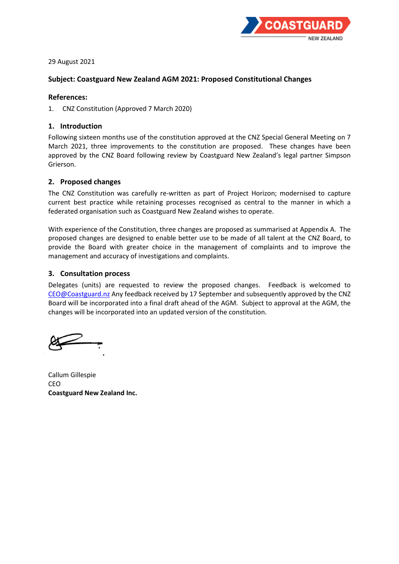

29 August 2021

## **Subject: Coastguard New Zealand AGM 2021: Proposed Constitutional Changes**

#### **References:**

1. CNZ Constitution (Approved 7 March 2020)

### **1. Introduction**

Following sixteen months use of the constitution approved at the CNZ Special General Meeting on 7 March 2021, three improvements to the constitution are proposed. These changes have been approved by the CNZ Board following review by Coastguard New Zealand's legal partner Simpson Grierson.

## **2. Proposed changes**

The CNZ Constitution was carefully re-written as part of Project Horizon; modernised to capture current best practice while retaining processes recognised as central to the manner in which a federated organisation such as Coastguard New Zealand wishes to operate.

With experience of the Constitution, three changes are proposed as summarised at Appendix A. The proposed changes are designed to enable better use to be made of all talent at the CNZ Board, to provide the Board with greater choice in the management of complaints and to improve the management and accuracy of investigations and complaints.

### **3. Consultation process**

Delegates (units) are requested to review the proposed changes. Feedback is welcomed to [CEO@Coastguard.nz](mailto:CEO@Coastguard.nz) Any feedback received by 17 September and subsequently approved by the CNZ Board will be incorporated into a final draft ahead of the AGM. Subject to approval at the AGM, the changes will be incorporated into an updated version of the constitution.

Callum Gillespie CEO **Coastguard New Zealand Inc.**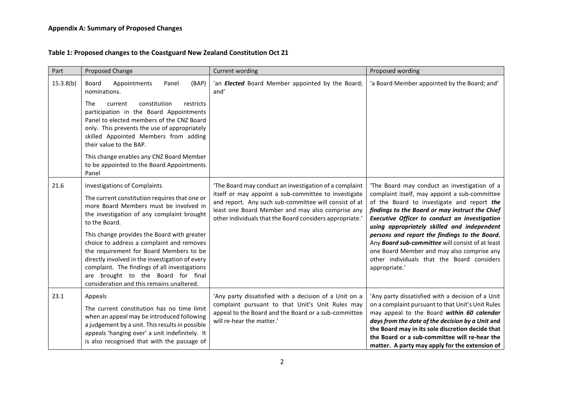# **Table 1: Proposed changes to the Coastguard New Zealand Constitution Oct 21**

| Part      | Proposed Change                                                                                                                                                                                                                                                                                                                                                                                                                                                                                                             | Current wording                                                                                                                                                                                                                                                                        | Proposed wording                                                                                                                                                                                                                                                                                                                                                                                                                                                                                                        |
|-----------|-----------------------------------------------------------------------------------------------------------------------------------------------------------------------------------------------------------------------------------------------------------------------------------------------------------------------------------------------------------------------------------------------------------------------------------------------------------------------------------------------------------------------------|----------------------------------------------------------------------------------------------------------------------------------------------------------------------------------------------------------------------------------------------------------------------------------------|-------------------------------------------------------------------------------------------------------------------------------------------------------------------------------------------------------------------------------------------------------------------------------------------------------------------------------------------------------------------------------------------------------------------------------------------------------------------------------------------------------------------------|
| 15.3.8(b) | (BAP)<br>Board<br>Appointments<br>Panel<br>nominations.<br>constitution<br>The<br>restricts<br>current<br>participation in the Board Appointments<br>Panel to elected members of the CNZ Board<br>only. This prevents the use of appropriately<br>skilled Appointed Members from adding<br>their value to the BAP.<br>This change enables any CNZ Board Member<br>to be appointed to the Board Appointments<br>Panel                                                                                                        | 'an <b>Elected</b> Board Member appointed by the Board;<br>and'                                                                                                                                                                                                                        | 'a Board Member appointed by the Board; and'                                                                                                                                                                                                                                                                                                                                                                                                                                                                            |
| 21.6      | <b>Investigations of Complaints</b><br>The current constitution requires that one or<br>more Board Members must be involved in<br>the investigation of any complaint brought<br>to the Board.<br>This change provides the Board with greater<br>choice to address a complaint and removes<br>the requirement for Board Members to be<br>directly involved in the investigation of every<br>complaint. The findings of all investigations<br>are brought to the Board for final<br>consideration and this remains unaltered. | 'The Board may conduct an investigation of a complaint<br>itself or may appoint a sub-committee to investigate<br>and report. Any such sub-committee will consist of at<br>least one Board Member and may also comprise any<br>other individuals that the Board considers appropriate. | 'The Board may conduct an investigation of a<br>complaint itself, may appoint a sub-committee<br>of the Board to investigate and report the<br>findings to the Board or may instruct the Chief<br>Executive Officer to conduct an investigation<br>using appropriately skilled and independent<br>persons and report the findings to the Board.<br>Any <b>Board sub-committee</b> will consist of at least<br>one Board Member and may also comprise any<br>other individuals that the Board considers<br>appropriate.' |
| 23.1      | Appeals<br>The current constitution has no time limit<br>when an appeal may be introduced following<br>a judgement by a unit. This results in possible<br>appeals 'hanging over' a unit indefinitely. It<br>is also recognised that with the passage of                                                                                                                                                                                                                                                                     | 'Any party dissatisfied with a decision of a Unit on a<br>complaint pursuant to that Unit's Unit Rules may<br>appeal to the Board and the Board or a sub-committee<br>will re-hear the matter.'                                                                                        | 'Any party dissatisfied with a decision of a Unit<br>on a complaint pursuant to that Unit's Unit Rules<br>may appeal to the Board within 60 calendar<br>days from the date of the decision by a Unit and<br>the Board may in its sole discretion decide that<br>the Board or a sub-committee will re-hear the<br>matter. A party may apply for the extension of                                                                                                                                                         |